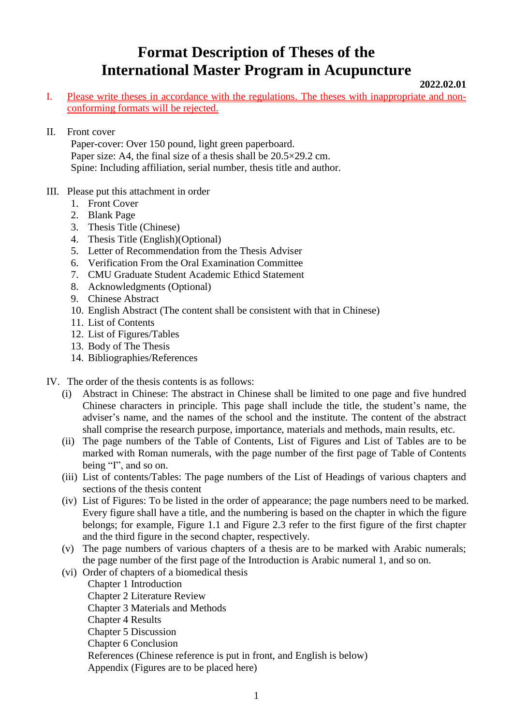## **Format Description of Theses of the International Master Program in Acupuncture**

**2022.02.01**

- I. Please write theses in accordance with the regulations. The theses with inappropriate and nonconforming formats will be rejected.
- II. Front cover

Paper-cover: Over 150 pound, light green paperboard. Paper size: A4, the final size of a thesis shall be  $20.5 \times 29.2$  cm. Spine: Including affiliation, serial number, thesis title and author.

- III. Please put this attachment in order
	- 1. Front Cover
	- 2. Blank Page
	- 3. Thesis Title (Chinese)
	- 4. Thesis Title (English)(Optional)
	- 5. Letter of Recommendation from the Thesis Adviser
	- 6. Verification From the Oral Examination Committee
	- 7. CMU Graduate Student Academic Ethicd Statement
	- 8. Acknowledgments (Optional)
	- 9. Chinese Abstract
	- 10. English Abstract (The content shall be consistent with that in Chinese)
	- 11. List of Contents
	- 12. List of Figures/Tables
	- 13. Body of The Thesis
	- 14. Bibliographies/References
- IV. The order of the thesis contents is as follows:
	- (i) Abstract in Chinese: The abstract in Chinese shall be limited to one page and five hundred Chinese characters in principle. This page shall include the title, the student's name, the adviser's name, and the names of the school and the institute. The content of the abstract shall comprise the research purpose, importance, materials and methods, main results, etc.
	- (ii) The page numbers of the Table of Contents, List of Figures and List of Tables are to be marked with Roman numerals, with the page number of the first page of Table of Contents being "I", and so on.
	- (iii) List of contents/Tables: The page numbers of the List of Headings of various chapters and sections of the thesis content
	- (iv) List of Figures: To be listed in the order of appearance; the page numbers need to be marked. Every figure shall have a title, and the numbering is based on the chapter in which the figure belongs; for example, Figure 1.1 and Figure 2.3 refer to the first figure of the first chapter and the third figure in the second chapter, respectively.
	- (v) The page numbers of various chapters of a thesis are to be marked with Arabic numerals; the page number of the first page of the Introduction is Arabic numeral 1, and so on.
	- (vi) Order of chapters of a biomedical thesis Chapter 1 Introduction Chapter 2 Literature Review Chapter 3 Materials and Methods Chapter 4 Results Chapter 5 Discussion Chapter 6 Conclusion References (Chinese reference is put in front, and English is below) Appendix (Figures are to be placed here)